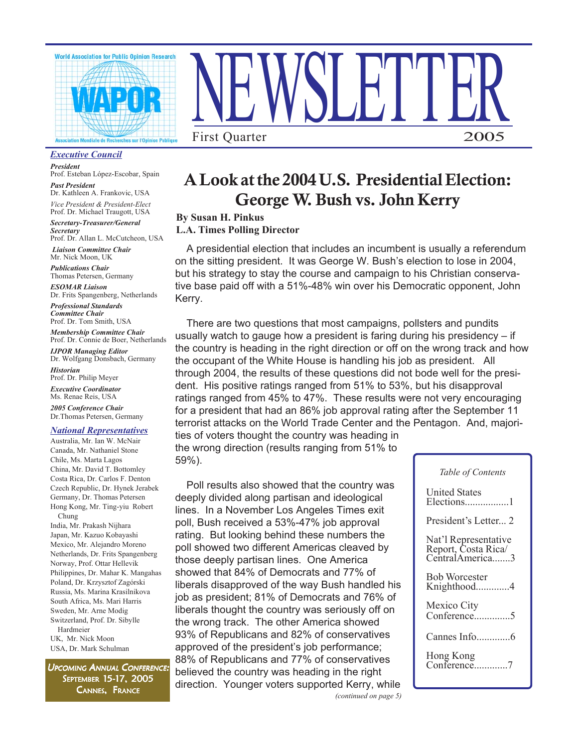

#### *Executive Council*

*President*

Prof. Esteban López-Escobar, Spain *Past President*

Dr. Kathleen A. Frankovic, USA *Vice President & President-Elect* Prof. Dr. Michael Traugott, USA

*Secretary-Treasurer/General Secretary* Prof. Dr. Allan L. McCutcheon, USA

 *Liaison Committee Chair* Mr. Nick Moon, UK

*Publications Chair* Thomas Petersen, Germany

*ESOMAR Liaison* Dr. Frits Spangenberg, Netherlands

*Professional Standards Committee Chair* Prof. Dr. Tom Smith, USA

*Membership Committee Chair* Prof. Dr. Connie de Boer, Netherlands

*IJPOR Managing Editor* Dr. Wolfgang Donsbach, Germany

*Historian* Prof. Dr. Philip Meyer

*Executive Coordinator* Ms. Renae Reis, USA

*2005 Conference Chair* Dr.Thomas Petersen, Germany

#### *National Representatives*

Australia, Mr. Ian W. McNair Canada, Mr. Nathaniel Stone Chile, Ms. Marta Lagos China, Mr. David T. Bottomley Costa Rica, Dr. Carlos F. Denton Czech Republic, Dr. Hynek Jerabek Germany, Dr. Thomas Petersen Hong Kong, Mr. Ting-yiu Robert Chung

India, Mr. Prakash Nijhara Japan, Mr. Kazuo Kobayashi Mexico, Mr. Alejandro Moreno Netherlands, Dr. Frits Spangenberg Norway, Prof. Ottar Hellevik Philippines, Dr. Mahar K. Mangahas Poland, Dr. Krzysztof Zagórski Russia, Ms. Marina Krasilnikova South Africa, Ms. Mari Harris Sweden, Mr. Arne Modig Switzerland, Prof. Dr. Sibylle Hardmeier UK, Mr. Nick Moon USA, Dr. Mark Schulman

**UPCOMING ANNUAL CONFERENCE:** SEPTEMBER 15-17, 2005



NEWSLETTER

First Quarter 2005

### **By Susan H. Pinkus L.A. Times Polling Director**

A presidential election that includes an incumbent is usually a referendum on the sitting president. It was George W. Bush's election to lose in 2004, but his strategy to stay the course and campaign to his Christian conservative base paid off with a 51%-48% win over his Democratic opponent, John Kerry.

There are two questions that most campaigns, pollsters and pundits usually watch to gauge how a president is faring during his presidency – if the country is heading in the right direction or off on the wrong track and how the occupant of the White House is handling his job as president. All through 2004, the results of these questions did not bode well for the president. His positive ratings ranged from 51% to 53%, but his disapproval ratings ranged from 45% to 47%. These results were not very encouraging for a president that had an 86% job approval rating after the September 11 terrorist attacks on the World Trade Center and the Pentagon. And, majorities of voters thought the country was heading in the wrong direction (results ranging from 51% to 59%).

CANNES, FRANCE *(continued on page 5)* direction. Younger voters supported Kerry, whilePoll results also showed that the country was deeply divided along partisan and ideological lines. In a November Los Angeles Times exit poll, Bush received a 53%-47% job approval rating. But looking behind these numbers the poll showed two different Americas cleaved by those deeply partisan lines. One America showed that 84% of Democrats and 77% of liberals disapproved of the way Bush handled his job as president; 81% of Democrats and 76% of liberals thought the country was seriously off on the wrong track. The other America showed 93% of Republicans and 82% of conservatives approved of the president's job performance; 88% of Republicans and 77% of conservatives believed the country was heading in the right

| Table of Contents                                              |
|----------------------------------------------------------------|
| <b>United States</b><br>Elections1                             |
| President's Letter 2                                           |
| Nat'l Representative<br>Report, Costa Rica/<br>CentralAmerica3 |
| <b>Bob Worcester</b><br>Knighthood4                            |
| Mexico City<br>Conference5                                     |
|                                                                |
| Hong Kong<br>Conference7                                       |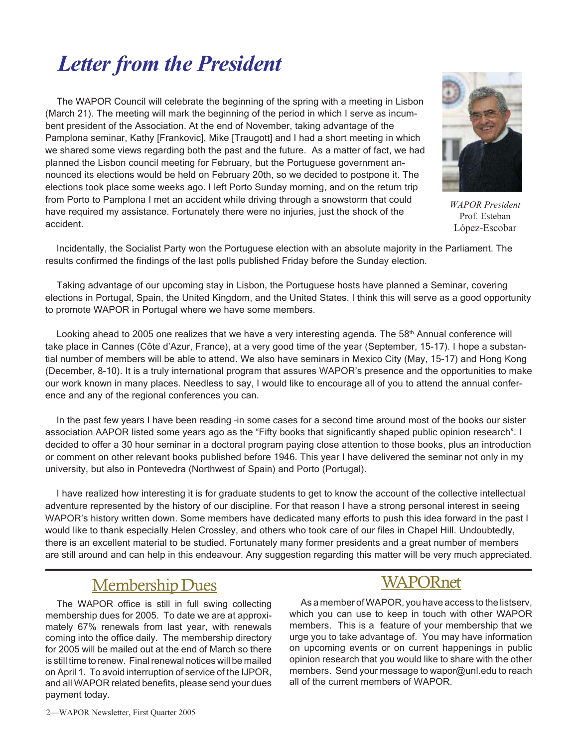# *Letter from the President*

The WAPOR Council will celebrate the beginning of the spring with a meeting in Lisbon (March 21). The meeting will mark the beginning of the period in which I serve as incumbent president of the Association. At the end of November, taking advantage of the Pamplona seminar, Kathy [Frankovic], Mike [Traugott] and I had a short meeting in which we shared some views regarding both the past and the future. As a matter of fact, we had planned the Lisbon council meeting for February, but the Portuguese government announced its elections would be held on February 20th, so we decided to postpone it. The elections took place some weeks ago. I left Porto Sunday morning, and on the return trip from Porto to Pamplona I met an accident while driving through a snowstorm that could have required my assistance. Fortunately there were no injuries, just the shock of the accident.



*WAPOR President* Prof. Esteban López-Escobar

Incidentally, the Socialist Party won the Portuguese election with an absolute majority in the Parliament. The results confirmed the findings of the last polls published Friday before the Sunday election.

Taking advantage of our upcoming stay in Lisbon, the Portuguese hosts have planned a Seminar, covering elections in Portugal, Spain, the United Kingdom, and the United States. I think this will serve as a good opportunity to promote WAPOR in Portugal where we have some members.

Looking ahead to 2005 one realizes that we have a very interesting agenda. The 58<sup>th</sup> Annual conference will take place in Cannes (Côte d'Azur, France), at a very good time of the year (September, 15-17). I hope a substantial number of members will be able to attend. We also have seminars in Mexico City (May, 15-17) and Hong Kong (December, 8-10). It is a truly international program that assures WAPOR's presence and the opportunities to make our work known in many places. Needless to say, I would like to encourage all of you to attend the annual conference and any of the regional conferences you can.

In the past few years I have been reading -in some cases for a second time around most of the books our sister association AAPOR listed some years ago as the "Fifty books that significantly shaped public opinion research". I decided to offer a 30 hour seminar in a doctoral program paying close attention to those books, plus an introduction or comment on other relevant books published before 1946. This year I have delivered the seminar not only in my university, but also in Pontevedra (Northwest of Spain) and Porto (Portugal).

I have realized how interesting it is for graduate students to get to know the account of the collective intellectual adventure represented by the history of our discipline. For that reason I have a strong personal interest in seeing WAPOR's history written down. Some members have dedicated many efforts to push this idea forward in the past I would like to thank especially Helen Crossley, and others who took care of our files in Chapel Hill. Undoubtedly, there is an excellent material to be studied. Fortunately many former presidents and a great number of members are still around and can help in this endeavour. Any suggestion regarding this matter will be very much appreciated.

## Membership Dues

The WAPOR office is still in full swing collecting membership dues for 2005. To date we are at approximately 67% renewals from last year, with renewals coming into the office daily. The membership directory for 2005 will be mailed out at the end of March so there is still time to renew. Final renewal notices will be mailed on April 1. To avoid interruption of service of the IJPOR, and all WAPOR related benefits, please send your dues payment today.

## WAPORnet

As a member of WAPOR, you have access to the listserv, which you can use to keep in touch with other WAPOR members. This is a feature of your membership that we urge you to take advantage of. You may have information on upcoming events or on current happenings in public opinion research that you would like to share with the other members. Send your message to wapor@unl.edu to reach all of the current members of WAPOR.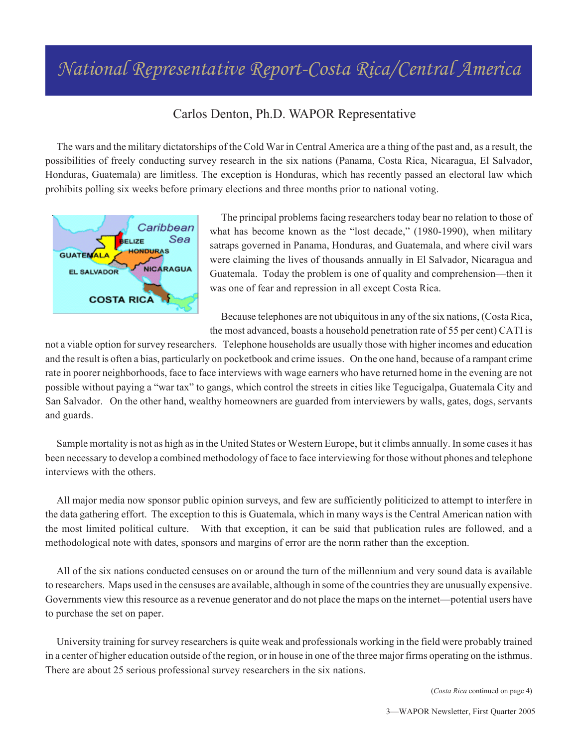# *National Representative Report-Costa Rica/Central America*

### Carlos Denton, Ph.D. WAPOR Representative

The wars and the military dictatorships of the Cold War in Central America are a thing of the past and, as a result, the possibilities of freely conducting survey research in the six nations (Panama, Costa Rica, Nicaragua, El Salvador, Honduras, Guatemala) are limitless. The exception is Honduras, which has recently passed an electoral law which prohibits polling six weeks before primary elections and three months prior to national voting.



The principal problems facing researchers today bear no relation to those of what has become known as the "lost decade," (1980-1990), when military satraps governed in Panama, Honduras, and Guatemala, and where civil wars were claiming the lives of thousands annually in El Salvador, Nicaragua and Guatemala. Today the problem is one of quality and comprehension—then it was one of fear and repression in all except Costa Rica.

Because telephones are not ubiquitous in any of the six nations, (Costa Rica, the most advanced, boasts a household penetration rate of 55 per cent) CATI is

not a viable option for survey researchers. Telephone households are usually those with higher incomes and education and the result is often a bias, particularly on pocketbook and crime issues. On the one hand, because of a rampant crime rate in poorer neighborhoods, face to face interviews with wage earners who have returned home in the evening are not possible without paying a "war tax" to gangs, which control the streets in cities like Tegucigalpa, Guatemala City and San Salvador. On the other hand, wealthy homeowners are guarded from interviewers by walls, gates, dogs, servants and guards.

Sample mortality is not as high as in the United States or Western Europe, but it climbs annually. In some cases it has been necessary to develop a combined methodology of face to face interviewing for those without phones and telephone interviews with the others.

All major media now sponsor public opinion surveys, and few are sufficiently politicized to attempt to interfere in the data gathering effort. The exception to this is Guatemala, which in many ways is the Central American nation with the most limited political culture. With that exception, it can be said that publication rules are followed, and a methodological note with dates, sponsors and margins of error are the norm rather than the exception.

All of the six nations conducted censuses on or around the turn of the millennium and very sound data is available to researchers. Maps used in the censuses are available, although in some of the countries they are unusually expensive. Governments view this resource as a revenue generator and do not place the maps on the internet—potential users have to purchase the set on paper.

University training for survey researchers is quite weak and professionals working in the field were probably trained in a center of higher education outside of the region, or in house in one of the three major firms operating on the isthmus. There are about 25 serious professional survey researchers in the six nations.

(*Costa Rica* continued on page 4)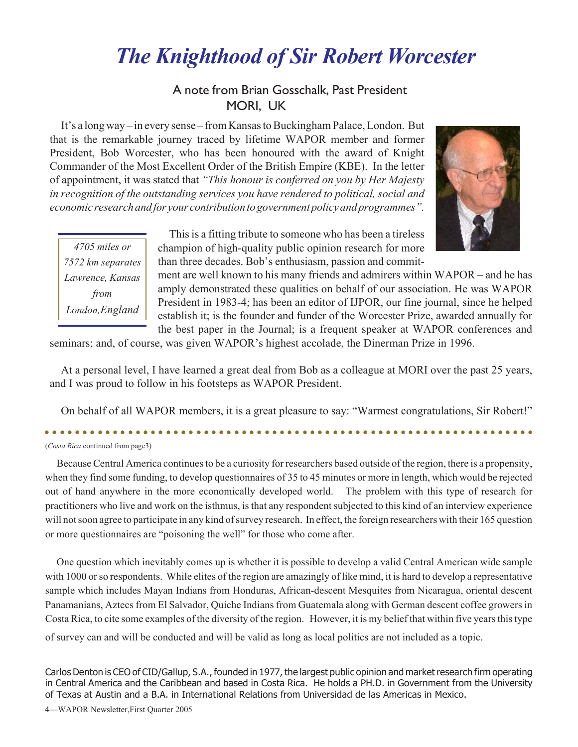# *The Knighthood of Sir Robert Worcester*

## A note from Brian Gosschalk, Past President MORI, UK

It's a long way – in every sense – from Kansas to Buckingham Palace, London. But that is the remarkable journey traced by lifetime WAPOR member and former President, Bob Worcester, who has been honoured with the award of Knight Commander of the Most Excellent Order of the British Empire (KBE). In the letter of appointment, it was stated that *"This honour is conferred on you by Her Majesty in recognition of the outstanding services you have rendered to political, social and economic research and for your contribution to government policy and programmes".*



*4705 miles or 7572 km separates Lawrence, Kansas from London,England*

This is a fitting tribute to someone who has been a tireless champion of high-quality public opinion research for more than three decades. Bob's enthusiasm, passion and commit-

ment are well known to his many friends and admirers within WAPOR – and he has amply demonstrated these qualities on behalf of our association. He was WAPOR President in 1983-4; has been an editor of IJPOR, our fine journal, since he helped establish it; is the founder and funder of the Worcester Prize, awarded annually for the best paper in the Journal; is a frequent speaker at WAPOR conferences and

seminars; and, of course, was given WAPOR's highest accolade, the Dinerman Prize in 1996.

At a personal level, I have learned a great deal from Bob as a colleague at MORI over the past 25 years, and I was proud to follow in his footsteps as WAPOR President.

On behalf of all WAPOR members, it is a great pleasure to say: "Warmest congratulations, Sir Robert!"

### ○○○○○○○○○○○○○○○○○○○○○○○○○○○○○○○○○○○○○○○○○○○ ○○○○○○○○○○○○○○○○○○○○○○ (*Costa Rica* continued from page3)

Because Central America continues to be a curiosity for researchers based outside of the region, there is a propensity, when they find some funding, to develop questionnaires of 35 to 45 minutes or more in length, which would be rejected out of hand anywhere in the more economically developed world. The problem with this type of research for practitioners who live and work on the isthmus, is that any respondent subjected to this kind of an interview experience will not soon agree to participate in any kind of survey research. In effect, the foreign researchers with their 165 question or more questionnaires are "poisoning the well" for those who come after.

One question which inevitably comes up is whether it is possible to develop a valid Central American wide sample with 1000 or so respondents. While elites of the region are amazingly of like mind, it is hard to develop a representative sample which includes Mayan Indians from Honduras, African-descent Mesquites from Nicaragua, oriental descent Panamanians, Aztecs from El Salvador, Quiche Indians from Guatemala along with German descent coffee growers in Costa Rica, to cite some examples of the diversity of the region. However, it is my belief that within five years this type

of survey can and will be conducted and will be valid as long as local politics are not included as a topic.

Carlos Denton is CEO of CID/Gallup, S.A., founded in 1977, the largest public opinion and market research firm operating in Central America and the Caribbean and based in Costa Rica. He holds a PH.D. in Government from the University of Texas at Austin and a B.A. in International Relations from Universidad de las Americas in Mexico.

4—WAPOR Newsletter,First Quarter 2005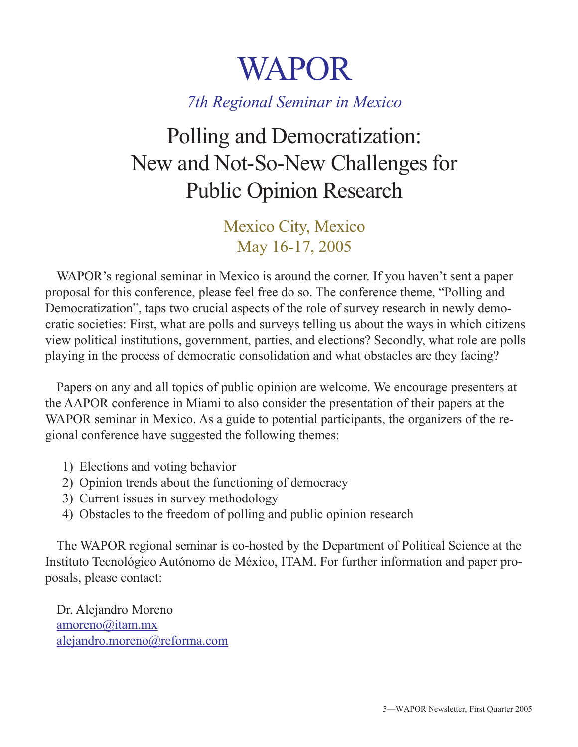# WAPOR

## *7th Regional Seminar in Mexico*

# Polling and Democratization: New and Not-So-New Challenges for Public Opinion Research

Mexico City, Mexico May 16-17, 2005

WAPOR's regional seminar in Mexico is around the corner. If you haven't sent a paper proposal for this conference, please feel free do so. The conference theme, "Polling and Democratization", taps two crucial aspects of the role of survey research in newly democratic societies: First, what are polls and surveys telling us about the ways in which citizens view political institutions, government, parties, and elections? Secondly, what role are polls playing in the process of democratic consolidation and what obstacles are they facing?

Papers on any and all topics of public opinion are welcome. We encourage presenters at the AAPOR conference in Miami to also consider the presentation of their papers at the WAPOR seminar in Mexico. As a guide to potential participants, the organizers of the regional conference have suggested the following themes:

- 1) Elections and voting behavior
- 2) Opinion trends about the functioning of democracy
- 3) Current issues in survey methodology
- 4) Obstacles to the freedom of polling and public opinion research

The WAPOR regional seminar is co-hosted by the Department of Political Science at the Instituto Tecnológico Autónomo de México, ITAM. For further information and paper proposals, please contact:

Dr. Alejandro Moreno amoreno@itam.mx alejandro.moreno@reforma.com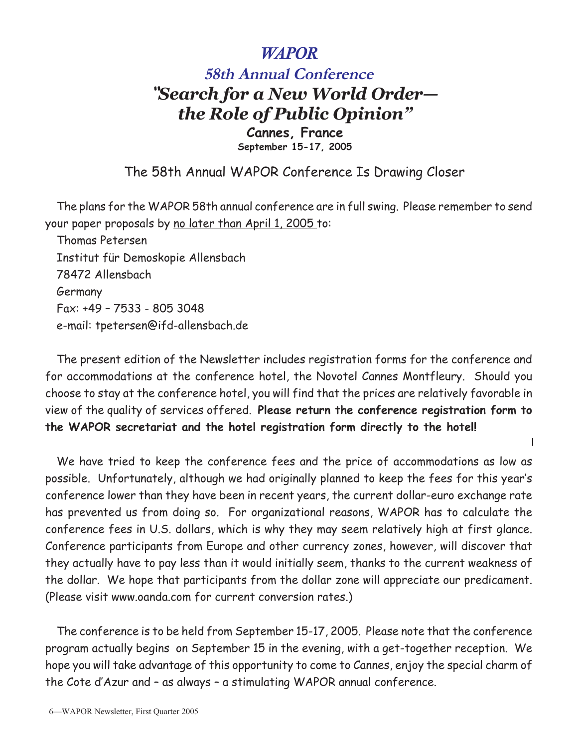## *WAPOR*

## **58th Annual Conference "***Search for a New World Order the Role of Public Opinion"*

**Cannes, France**

**September 15-17, 2005**

The 58th Annual WAPOR Conference Is Drawing Closer

The plans for the WAPOR 58th annual conference are in full swing. Please remember to send your paper proposals by no later than April 1, 2005 to:

Thomas Petersen Institut für Demoskopie Allensbach 78472 Allensbach Germany Fax: +49 – 7533 - 805 3048 e-mail: tpetersen@ifd-allensbach.de

The present edition of the Newsletter includes registration forms for the conference and for accommodations at the conference hotel, the Novotel Cannes Montfleury. Should you choose to stay at the conference hotel, you will find that the prices are relatively favorable in view of the quality of services offered. **Please return the conference registration form to the WAPOR secretariat and the hotel registration form directly to the hotel!**

 $\mathbf{I}$ 

We have tried to keep the conference fees and the price of accommodations as low as possible. Unfortunately, although we had originally planned to keep the fees for this year's conference lower than they have been in recent years, the current dollar-euro exchange rate has prevented us from doing so. For organizational reasons, WAPOR has to calculate the conference fees in U.S. dollars, which is why they may seem relatively high at first glance. Conference participants from Europe and other currency zones, however, will discover that they actually have to pay less than it would initially seem, thanks to the current weakness of the dollar. We hope that participants from the dollar zone will appreciate our predicament. (Please visit www.oanda.com for current conversion rates.)

The conference is to be held from September 15-17, 2005. Please note that the conference program actually begins on September 15 in the evening, with a get-together reception. We hope you will take advantage of this opportunity to come to Cannes, enjoy the special charm of the Cote d'Azur and – as always – a stimulating WAPOR annual conference.

6—WAPOR Newsletter, First Quarter 2005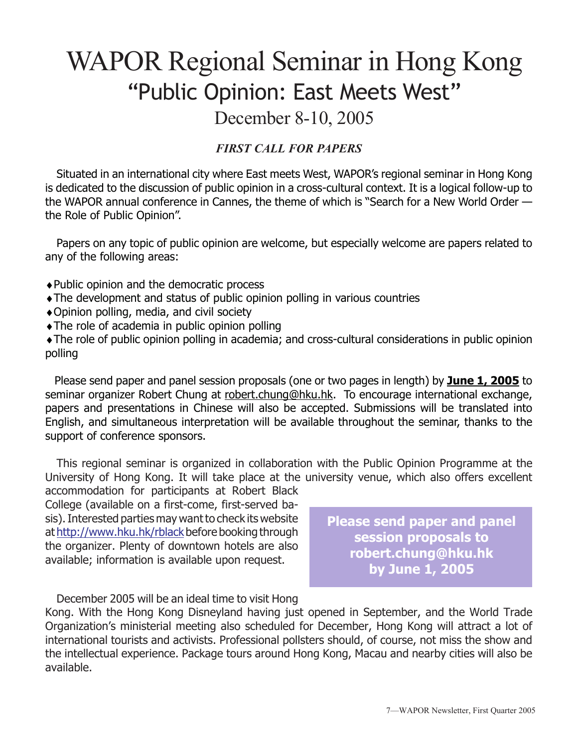# WAPOR Regional Seminar in Hong Kong "Public Opinion: East Meets West"

December 8-10, 2005

## *FIRST CALL FOR PAPERS*

the WAPOR annual conference in Cannes, the theme of which is "Search for a New World Order — Situated in an international city where East meets West, WAPOR's regional seminar in Hong Kong is dedicated to the discussion of public opinion in a cross-cultural context. It is a logical follow-up to the Role of Public Opinion".

Papers on any topic of public opinion are welcome, but especially welcome are papers related to any of the following areas:

- ♦Public opinion and the democratic process
- ♦The development and status of public opinion polling in various countries
- ♦Opinion polling, media, and civil society
- $\triangle$ The role of academia in public opinion polling

♦The role of public opinion polling in academia; and cross-cultural considerations in public opinion polling

Please send paper and panel session proposals (one or two pages in length) by **June 1, 2005** to seminar organizer Robert Chung at robert.chung@hku.hk. To encourage international exchange, papers and presentations in Chinese will also be accepted. Submissions will be translated into English, and simultaneous interpretation will be available throughout the seminar, thanks to the support of conference sponsors.

This regional seminar is organized in collaboration with the Public Opinion Programme at the University of Hong Kong. It will take place at the university venue, which also offers excellent

accommodation for participants at Robert Black College (available on a first-come, first-served basis). Interested parties may want to check its website at http://www.hku.hk/rblack before booking through the organizer. Plenty of downtown hotels are also available; information is available upon request.

**Please send paper and panel session proposals to robert.chung@hku.hk by June 1, 2005**

December 2005 will be an ideal time to visit Hong

Kong. With the Hong Kong Disneyland having just opened in September, and the World Trade Organization's ministerial meeting also scheduled for December, Hong Kong will attract a lot of international tourists and activists. Professional pollsters should, of course, not miss the show and the intellectual experience. Package tours around Hong Kong, Macau and nearby cities will also be available.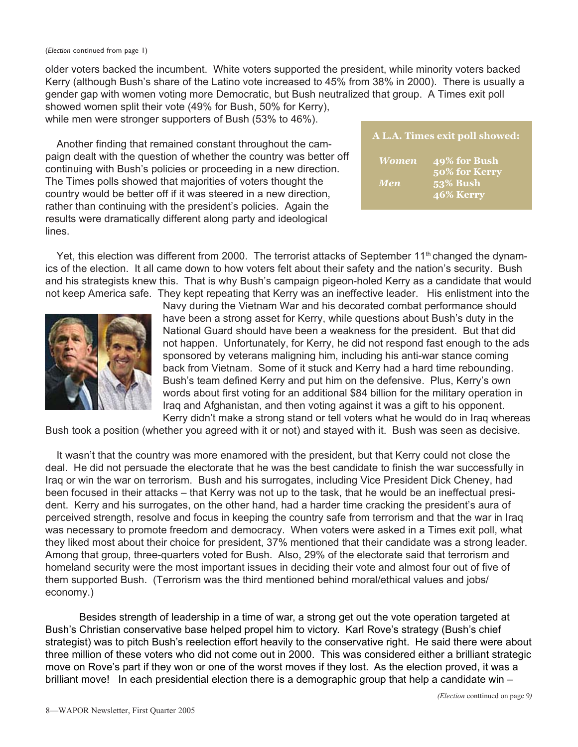#### (*Election* continued from page 1)

older voters backed the incumbent. White voters supported the president, while minority voters backed Kerry (although Bush's share of the Latino vote increased to 45% from 38% in 2000). There is usually a gender gap with women voting more Democratic, but Bush neutralized that group. A Times exit poll showed women split their vote (49% for Bush, 50% for Kerry), while men were stronger supporters of Bush (53% to 46%).

Another finding that remained constant throughout the campaign dealt with the question of whether the country was better off continuing with Bush's policies or proceeding in a new direction. The Times polls showed that majorities of voters thought the country would be better off if it was steered in a new direction, rather than continuing with the president's policies. Again the results were dramatically different along party and ideological lines.

| A L.A. Times exit poll showed: |                               |  |  |
|--------------------------------|-------------------------------|--|--|
| <b>Women</b>                   | 49% for Bush<br>50% for Kerry |  |  |
| Men                            | <b>53% Bush</b><br>46% Kerry  |  |  |

Yet, this election was different from 2000. The terrorist attacks of September  $11<sup>th</sup>$  changed the dynamics of the election. It all came down to how voters felt about their safety and the nation's security. Bush and his strategists knew this. That is why Bush's campaign pigeon-holed Kerry as a candidate that would not keep America safe. They kept repeating that Kerry was an ineffective leader. His enlistment into the



Navy during the Vietnam War and his decorated combat performance should have been a strong asset for Kerry, while questions about Bush's duty in the National Guard should have been a weakness for the president. But that did not happen. Unfortunately, for Kerry, he did not respond fast enough to the ads sponsored by veterans maligning him, including his anti-war stance coming back from Vietnam. Some of it stuck and Kerry had a hard time rebounding. Bush's team defined Kerry and put him on the defensive. Plus, Kerry's own words about first voting for an additional \$84 billion for the military operation in Iraq and Afghanistan, and then voting against it was a gift to his opponent. Kerry didn't make a strong stand or tell voters what he would do in Iraq whereas

Bush took a position (whether you agreed with it or not) and stayed with it. Bush was seen as decisive.

It wasn't that the country was more enamored with the president, but that Kerry could not close the deal. He did not persuade the electorate that he was the best candidate to finish the war successfully in Iraq or win the war on terrorism. Bush and his surrogates, including Vice President Dick Cheney, had been focused in their attacks – that Kerry was not up to the task, that he would be an ineffectual president. Kerry and his surrogates, on the other hand, had a harder time cracking the president's aura of perceived strength, resolve and focus in keeping the country safe from terrorism and that the war in Iraq was necessary to promote freedom and democracy. When voters were asked in a Times exit poll, what they liked most about their choice for president, 37% mentioned that their candidate was a strong leader. Among that group, three-quarters voted for Bush. Also, 29% of the electorate said that terrorism and homeland security were the most important issues in deciding their vote and almost four out of five of them supported Bush. (Terrorism was the third mentioned behind moral/ethical values and jobs/ economy.)

Besides strength of leadership in a time of war, a strong get out the vote operation targeted at Bush's Christian conservative base helped propel him to victory. Karl Rove's strategy (Bush's chief strategist) was to pitch Bush's reelection effort heavily to the conservative right. He said there were about three million of these voters who did not come out in 2000. This was considered either a brilliant strategic move on Rove's part if they won or one of the worst moves if they lost. As the election proved, it was a brilliant move! In each presidential election there is a demographic group that help a candidate win –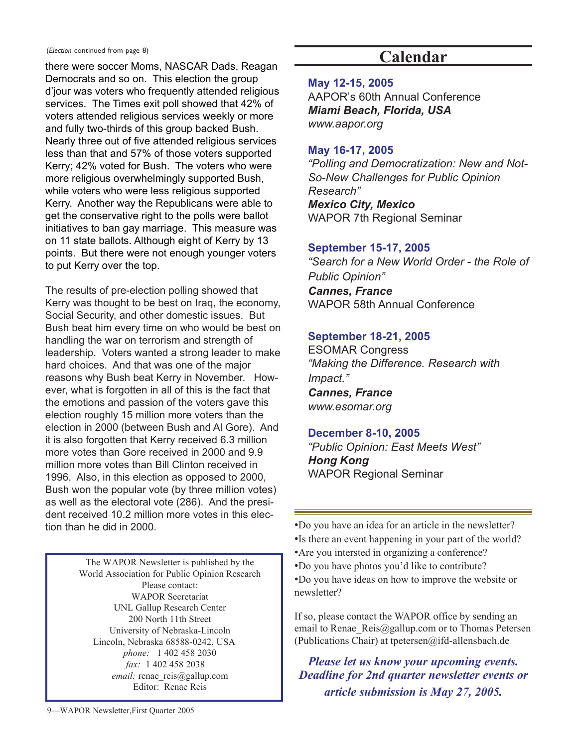#### (*Election* continued from page 8)

there were soccer Moms, NASCAR Dads, Reagan Democrats and so on. This election the group d'jour was voters who frequently attended religious services. The Times exit poll showed that 42% of voters attended religious services weekly or more and fully two-thirds of this group backed Bush. Nearly three out of five attended religious services less than that and 57% of those voters supported Kerry; 42% voted for Bush. The voters who were more religious overwhelmingly supported Bush, while voters who were less religious supported Kerry. Another way the Republicans were able to get the conservative right to the polls were ballot initiatives to ban gay marriage. This measure was on 11 state ballots. Although eight of Kerry by 13 points. But there were not enough younger voters to put Kerry over the top.

The results of pre-election polling showed that Kerry was thought to be best on Iraq, the economy, Social Security, and other domestic issues. But Bush beat him every time on who would be best on handling the war on terrorism and strength of leadership. Voters wanted a strong leader to make hard choices. And that was one of the major reasons why Bush beat Kerry in November. However, what is forgotten in all of this is the fact that the emotions and passion of the voters gave this election roughly 15 million more voters than the election in 2000 (between Bush and Al Gore). And it is also forgotten that Kerry received 6.3 million more votes than Gore received in 2000 and 9.9 million more votes than Bill Clinton received in 1996. Also, in this election as opposed to 2000, Bush won the popular vote (by three million votes) as well as the electoral vote (286). And the president received 10.2 million more votes in this election than he did in 2000. • **•Do** you have an idea for an article in the newsletter?

The WAPOR Newsletter is published by the World Association for Public Opinion Research Please contact: WAPOR Secretariat UNL Gallup Research Center 200 North 11th Street University of Nebraska-Lincoln Lincoln, Nebraska 68588-0242, USA *phone:* 1 402 458 2030 *fax:* 1 402 458 2038 *email:* renae reis@gallup.com Editor: Renae Reis

## **Calendar**

### **May 12-15, 2005**

AAPOR's 60th Annual Conference *Miami Beach, Florida, USA www.aapor.org*

### **May 16-17, 2005**

*"Polling and Democratization: New and Not-So-New Challenges for Public Opinion Research" Mexico City, Mexico* WAPOR 7th Regional Seminar

### **September 15-17, 2005**

*"Search for a New World Order - the Role of Public Opinion" Cannes, France* WAPOR 58th Annual Conference

### **September 18-21, 2005**

ESOMAR Congress *"Making the Difference. Research with Impact." Cannes, France www.esomar.org*

### **December 8-10, 2005**

*"Public Opinion: East Meets West" Hong Kong* WAPOR Regional Seminar

- •Is there an event happening in your part of the world?
- •Are you intersted in organizing a conference?
- •Do you have photos you'd like to contribute?
- •Do you have ideas on how to improve the website or newsletter?

If so, please contact the WAPOR office by sending an email to Renae\_Reis@gallup.com or to Thomas Petersen (Publications Chair) at tpetersen@ifd-allensbach.de

## *Please let us know your upcoming events. Deadline for 2nd quarter newsletter events or article submission is May 27, 2005.*

9—WAPOR Newsletter,First Quarter 2005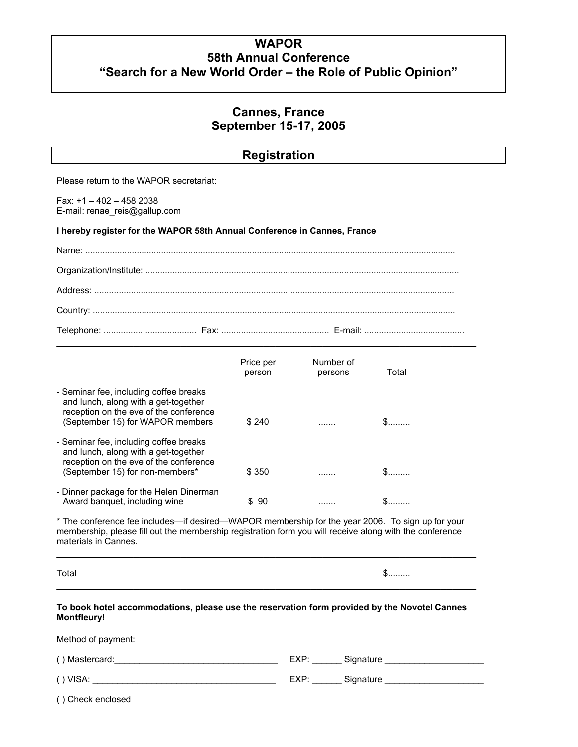## **WAPOR 58th Annual Conference "Search for a New World Order – the Role of Public Opinion"**

### **Cannes, France September 15-17, 2005**

|                                                                                                                                                                                                                                     | <b>Registration</b> |                      |               |
|-------------------------------------------------------------------------------------------------------------------------------------------------------------------------------------------------------------------------------------|---------------------|----------------------|---------------|
| Please return to the WAPOR secretariat:                                                                                                                                                                                             |                     |                      |               |
| Fax: $+1 - 402 - 458$ 2038<br>E-mail: renae_reis@gallup.com                                                                                                                                                                         |                     |                      |               |
| I hereby register for the WAPOR 58th Annual Conference in Cannes, France                                                                                                                                                            |                     |                      |               |
|                                                                                                                                                                                                                                     |                     |                      |               |
|                                                                                                                                                                                                                                     |                     |                      |               |
|                                                                                                                                                                                                                                     |                     |                      |               |
|                                                                                                                                                                                                                                     |                     |                      |               |
|                                                                                                                                                                                                                                     |                     |                      |               |
|                                                                                                                                                                                                                                     | Price per<br>person | Number of<br>persons | Total         |
| - Seminar fee, including coffee breaks<br>and lunch, along with a get-together<br>reception on the eve of the conference<br>(September 15) for WAPOR members                                                                        | \$240               | .                    | $\mathbb{S}$  |
| - Seminar fee, including coffee breaks<br>and lunch, along with a get-together<br>reception on the eve of the conference<br>(September 15) for non-members*                                                                         | \$350               | .                    | $\mathbb{S}$  |
| - Dinner package for the Helen Dinerman<br>Award banquet, including wine                                                                                                                                                            | \$90                | .                    | \$………         |
| * The conference fee includes—if desired—WAPOR membership for the year 2006. To sign up for your<br>membership, please fill out the membership registration form you will receive along with the conference<br>materials in Cannes. |                     |                      |               |
| Total                                                                                                                                                                                                                               |                     |                      | $\mathsf{\$}$ |
| To book hotel accommodations, please use the reservation form provided by the Novotel Cannes<br><b>Montfleury!</b>                                                                                                                  |                     |                      |               |
| Method of payment:                                                                                                                                                                                                                  |                     |                      |               |
|                                                                                                                                                                                                                                     |                     |                      |               |
|                                                                                                                                                                                                                                     |                     |                      |               |

( ) Check enclosed